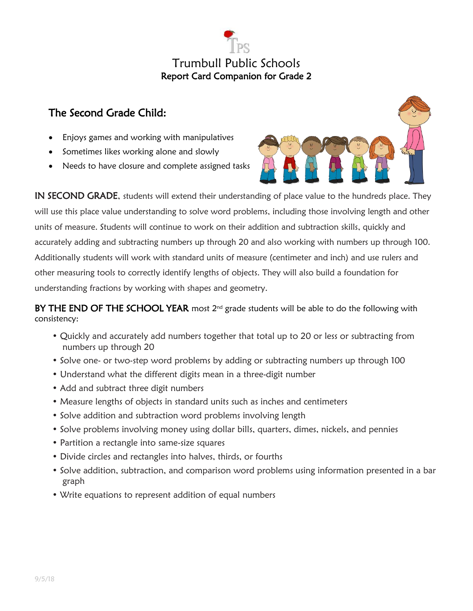

## The Second Grade Child:

- Enjoys games and working with manipulatives
- Sometimes likes working alone and slowly
- Needs to have closure and complete assigned tasks



IN SECOND GRADE, students will extend their understanding of place value to the hundreds place. They will use this place value understanding to solve word problems, including those involving length and other units of measure. Students will continue to work on their addition and subtraction skills, quickly and accurately adding and subtracting numbers up through 20 and also working with numbers up through 100. Additionally students will work with standard units of measure (centimeter and inch) and use rulers and other measuring tools to correctly identify lengths of objects. They will also build a foundation for understanding fractions by working with shapes and geometry.

BY THE END OF THE SCHOOL YEAR most  $2^{nd}$  grade students will be able to do the following with consistency:

- Quickly and accurately add numbers together that total up to 20 or less or subtracting from numbers up through 20
- Solve one- or two-step word problems by adding or subtracting numbers up through 100
- Understand what the different digits mean in a three-digit number
- Add and subtract three digit numbers
- Measure lengths of objects in standard units such as inches and centimeters
- Solve addition and subtraction word problems involving length
- Solve problems involving money using dollar bills, quarters, dimes, nickels, and pennies
- Partition a rectangle into same-size squares
- Divide circles and rectangles into halves, thirds, or fourths
- Solve addition, subtraction, and comparison word problems using information presented in a bar graph
- Write equations to represent addition of equal numbers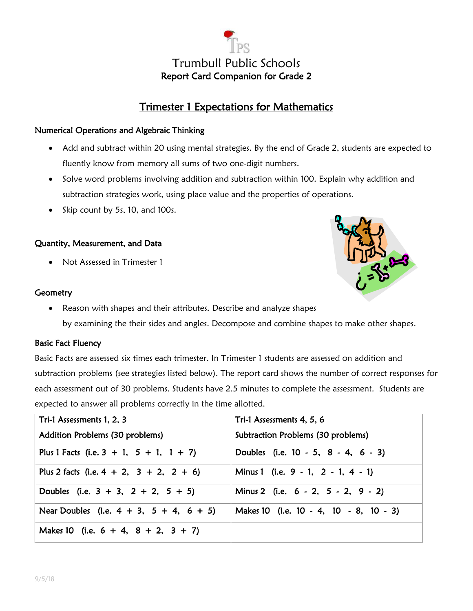

### Trimester 1 Expectations for Mathematics

#### Numerical Operations and Algebraic Thinking

- Add and subtract within 20 using mental strategies. By the end of Grade 2, students are expected to fluently know from memory all sums of two one-digit numbers.
- Solve word problems involving addition and subtraction within 100. Explain why addition and subtraction strategies work, using place value and the properties of operations.
- $\bullet$  Skip count by 5s, 10, and 100s.

#### Quantity, Measurement, and Data

Not Assessed in Trimester 1

#### **Geometry**

- 
- Reason with shapes and their attributes. Describe and analyze shapes by examining the their sides and angles. Decompose and combine shapes to make other shapes.

#### Basic Fact Fluency

Basic Facts are assessed six times each trimester. In Trimester 1 students are assessed on addition and subtraction problems (see strategies listed below). The report card shows the number of correct responses for each assessment out of 30 problems. Students have 2.5 minutes to complete the assessment. Students are expected to answer all problems correctly in the time allotted.

| Tri-1 Assessments 1, 2, 3                        | Tri-1 Assessments 4, 5, 6              |
|--------------------------------------------------|----------------------------------------|
| Addition Problems (30 problems)                  | Subtraction Problems (30 problems)     |
| Plus 1 Facts (i.e. $3 + 1$ , $5 + 1$ , $1 + 7$ ) | Doubles (i.e. 10 - 5, 8 - 4, 6 - 3)    |
| Plus 2 facts (i.e. $4 + 2$ , $3 + 2$ , $2 + 6$ ) | Minus 1 (i.e. 9 - 1, 2 - 1, 4 - 1)     |
| Doubles (i.e. $3 + 3$ , $2 + 2$ , $5 + 5$ )      | Minus 2 (i.e. 6 - 2, 5 - 2, 9 - 2)     |
| Near Doubles (i.e. $4 + 3$ , $5 + 4$ , $6 + 5$ ) | Makes 10 (i.e. 10 - 4, 10 - 8, 10 - 3) |
| Makes 10 (i.e. $6 + 4$ , $8 + 2$ , $3 + 7$ )     |                                        |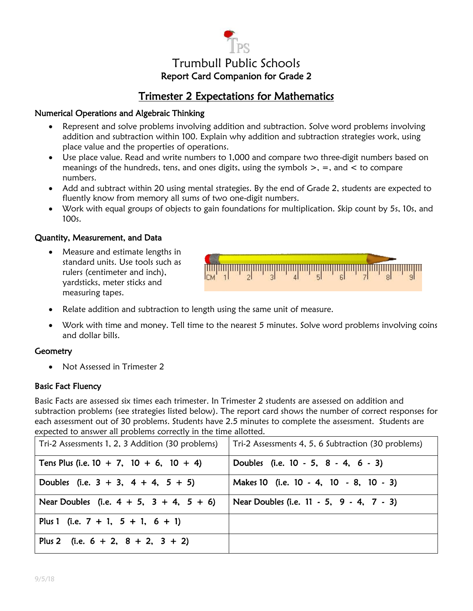# Trumbull Public Schools Report Card Companion for Grade 2

## Trimester 2 Expectations for Mathematics

#### Numerical Operations and Algebraic Thinking

- Represent and solve problems involving addition and subtraction. Solve word problems involving addition and subtraction within 100. Explain why addition and subtraction strategies work, using place value and the properties of operations.
- Use place value. Read and write numbers to 1,000 and compare two three-digit numbers based on meanings of the hundreds, tens, and ones digits, using the symbols  $\geq$ ,  $=$ , and  $\lt$  to compare numbers.
- Add and subtract within 20 using mental strategies. By the end of Grade 2, students are expected to fluently know from memory all sums of two one-digit numbers.
- Work with equal groups of objects to gain foundations for multiplication. Skip count by 5s, 10s, and 100s.

#### Quantity, Measurement, and Data

 Measure and estimate lengths in standard units. Use tools such as rulers (centimeter and inch), yardsticks, meter sticks and measuring tapes.



- Relate addition and subtraction to length using the same unit of measure.
- Work with time and money. Tell time to the nearest 5 minutes. Solve word problems involving coins and dollar bills.

#### **Geometry**

• Not Assessed in Trimester 2

#### Basic Fact Fluency

Basic Facts are assessed six times each trimester. In Trimester 2 students are assessed on addition and subtraction problems (see strategies listed below). The report card shows the number of correct responses for each assessment out of 30 problems. Students have 2.5 minutes to complete the assessment. Students are expected to answer all problems correctly in the time allotted.

| Tri-2 Assessments 1, 2, 3 Addition (30 problems) | Tri-2 Assessments 4, 5, 6 Subtraction (30 problems) |
|--------------------------------------------------|-----------------------------------------------------|
| Tens Plus (i.e. $10 + 7$ , $10 + 6$ , $10 + 4$ ) | Doubles (i.e. 10 - 5, 8 - 4, 6 - 3)                 |
| Doubles (i.e. $3 + 3$ , $4 + 4$ , $5 + 5$ )      | Makes 10 (i.e. 10 - 4, 10 - 8, 10 - 3)              |
| Near Doubles (i.e. $4 + 5$ , $3 + 4$ , $5 + 6$ ) | Near Doubles (i.e. 11 - 5, 9 - 4, 7 - 3)            |
| Plus 1 (i.e. $7 + 1$ , $5 + 1$ , $6 + 1$ )       |                                                     |
| Plus 2 (i.e. $6 + 2$ , $8 + 2$ , $3 + 2$ )       |                                                     |